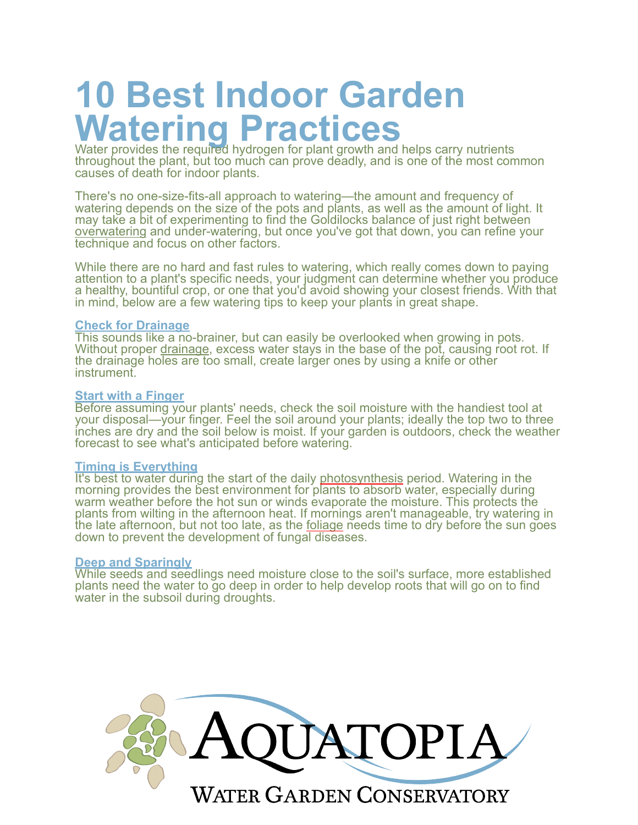# **10 Best Indoor Garden**  Watering Practices<br>Water provides the required hydrogen for plant growth and helps carry nutrients

throughout the plant, but too much can prove deadly, and is one of the most common causes of death for indoor plants.

There's no one-size-fits-all approach to watering—the amount and frequency of watering depends on the size of the pots and plants, as well as the amount of light. It may take a bit of experimenting to find the Goldilocks balance of just right between [overwatering](https://www.maximumyield.com/definition/3238/overwatering) and under-watering, but once you've got that down, you can refine your technique and focus on other factors.

While there are no hard and fast rules to watering, which really comes down to paying attention to a plant's specific needs, your judgment can determine whether you produce a healthy, bountiful crop, or one that you'd avoid showing your closest friends. With that in mind, below are a few watering tips to keep your plants in great shape.

#### **Check for Drainage**

This sounds like a no-brainer, but can easily be overlooked when growing in pots. Without proper [drainage,](https://www.maximumyield.com/definition/473/drainage) excess water stays in the base of the pot, causing root rot. If the drainage holes are too small, create larger ones by using a knife or other instrument.

#### **Start with a Finger**

Before assuming your plants' needs, check the soil moisture with the handiest tool at your disposal—your finger. Feel the soil around your plants; ideally the top two to three inches are dry and the soil below is moist. If your garden is outdoors, check the weather forecast to see what's anticipated before watering.

#### **Timing is Everything**

It's best to water during the start of the daily [photosynthesis](https://www.maximumyield.com/definition/93/photosynthesis) period. Watering in the morning provides the best environment for plants to absorb water, especially during warm weather before the hot sun or winds evaporate the moisture. This protects the plants from wilting in the afternoon heat. If mornings aren't manageable, try watering in the late afternoon, but not too late, as the <u>foliage</u> needs time to dry before the sun goes down to prevent the development of fungal diseases.

#### **Deep and Sparingly**

While seeds and seedlings need moisture close to the soil's surface, more established plants need the water to go deep in order to help develop roots that will go on to find water in the subsoil during droughts.